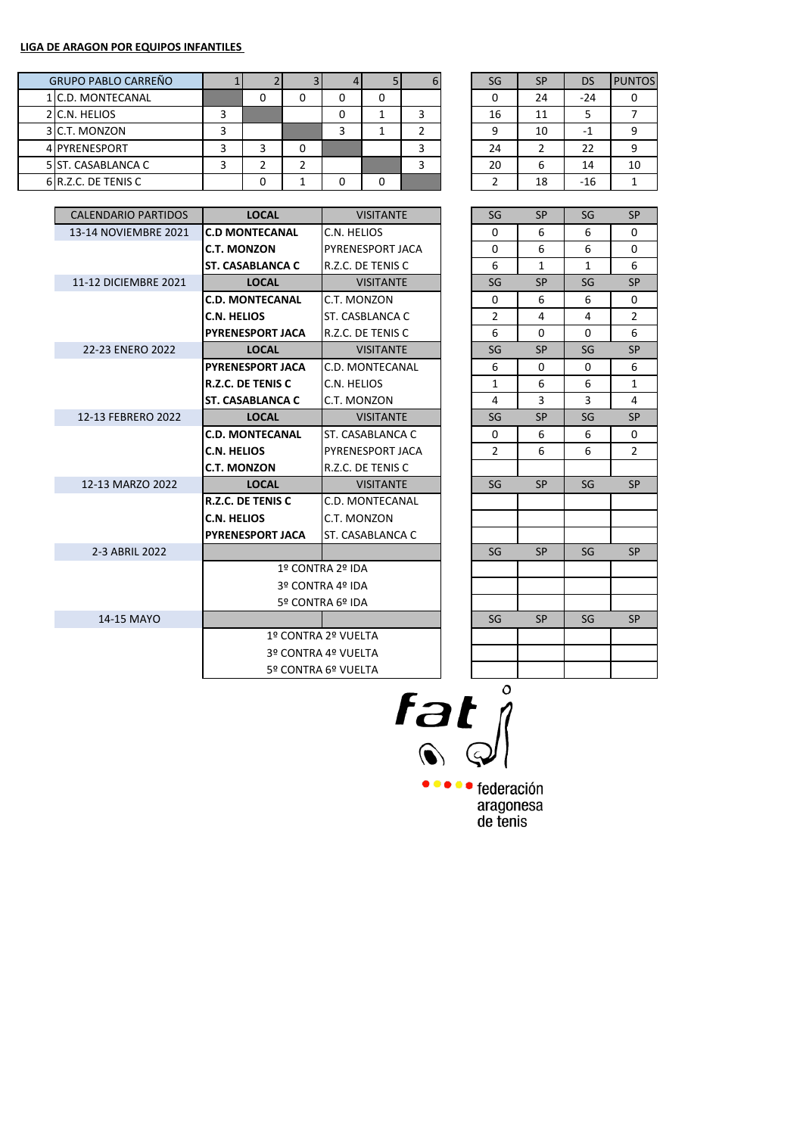|  | <b>GRUPO PABLO CARREÑO</b> |   |  |  |  | SG | <b>SP</b> | DS    | <b>PUNTOS</b> |
|--|----------------------------|---|--|--|--|----|-----------|-------|---------------|
|  | 1 C.D. MONTECANAL          |   |  |  |  |    | 24        | $-24$ |               |
|  | 2 C.N. HELIOS              |   |  |  |  | 16 | 11        |       |               |
|  | 3 C.T. MONZON              | э |  |  |  | a  | 10        | ÷.    |               |
|  | 4 PYRENESPORT              |   |  |  |  | 24 |           | 22    |               |
|  | 5 ST. CASABLANCA C         |   |  |  |  | 20 | b         | 14    | 10            |
|  | 6 R.Z.C. DE TENIS C        |   |  |  |  |    | 18        | $-16$ |               |

| SG | <b>SP</b>      | DS    | <b>PUNTOS</b> |
|----|----------------|-------|---------------|
| 0  | 24             | $-24$ |               |
| 16 | 11             | 5     |               |
| ٩  | 10             | -1    | ٩             |
| 24 | $\overline{2}$ | 22    | q             |
| 20 | 6              | 14    | 10            |
|    | 18             | $-16$ |               |

| <b>CALENDARIO PARTIDOS</b> | <b>LOCAL</b>             | <b>VISITANTE</b>    |  | SG             | <b>SP</b>    | SG           | <b>SP</b>      |
|----------------------------|--------------------------|---------------------|--|----------------|--------------|--------------|----------------|
| 13-14 NOVIEMBRE 2021       | <b>C.D MONTECANAL</b>    | C.N. HELIOS         |  | 0              | 6            | 6            | $\Omega$       |
|                            | <b>C.T. MONZON</b>       | PYRENESPORT JACA    |  | $\Omega$       | 6            | 6            | 0              |
|                            | <b>ST. CASABLANCA C</b>  | R.Z.C. DE TENIS C   |  | 6              | $\mathbf{1}$ | $\mathbf{1}$ | 6              |
| 11-12 DICIEMBRE 2021       | <b>LOCAL</b>             | <b>VISITANTE</b>    |  | SG             | <b>SP</b>    | SG           | <b>SP</b>      |
|                            | <b>C.D. MONTECANAL</b>   | C.T. MONZON         |  | 0              | 6            | 6            | $\mathbf 0$    |
|                            | <b>C.N. HELIOS</b>       | ST. CASBLANCA C     |  | 2              | 4            | 4            | $\overline{2}$ |
|                            | <b>PYRENESPORT JACA</b>  | R.Z.C. DE TENIS C   |  | 6              | $\Omega$     | $\Omega$     | 6              |
| 22-23 ENERO 2022           | <b>LOCAL</b>             | <b>VISITANTE</b>    |  | SG             | <b>SP</b>    | SG           | <b>SP</b>      |
|                            | <b>PYRENESPORT JACA</b>  | C.D. MONTECANAL     |  | 6              | 0            | 0            | 6              |
|                            | <b>R.Z.C. DE TENIS C</b> | C.N. HELIOS         |  | $\mathbf{1}$   | 6            | 6            | $\mathbf{1}$   |
|                            | <b>ST. CASABLANCA C</b>  | C.T. MONZON         |  | 4              | 3            | 3            | 4              |
| 12-13 FEBRERO 2022         | <b>LOCAL</b>             | <b>VISITANTE</b>    |  | SG             | <b>SP</b>    | SG           | <b>SP</b>      |
|                            | <b>C.D. MONTECANAL</b>   | ST. CASABLANCA C    |  | 0              | 6            | 6            | 0              |
|                            | <b>C.N. HELIOS</b>       | PYRENESPORT JACA    |  | $\overline{2}$ | 6            | 6            | 2              |
|                            | <b>C.T. MONZON</b>       | R.Z.C. DE TENIS C   |  |                |              |              |                |
| 12-13 MARZO 2022           | <b>LOCAL</b>             | <b>VISITANTE</b>    |  | SG             | <b>SP</b>    | SG           | <b>SP</b>      |
|                            | <b>R.Z.C. DE TENIS C</b> | C.D. MONTECANAL     |  |                |              |              |                |
|                            | <b>C.N. HELIOS</b>       | C.T. MONZON         |  |                |              |              |                |
|                            | <b>PYRENESPORT JACA</b>  | ST. CASABLANCA C    |  |                |              |              |                |
| 2-3 ABRIL 2022             |                          |                     |  | SG             | <b>SP</b>    | SG           | <b>SP</b>      |
|                            |                          | 1º CONTRA 2º IDA    |  |                |              |              |                |
|                            |                          | 3º CONTRA 4º IDA    |  |                |              |              |                |
|                            |                          | 5º CONTRA 6º IDA    |  |                |              |              |                |
| 14-15 MAYO                 |                          |                     |  | SG             | <b>SP</b>    | SG           | <b>SP</b>      |
|                            |                          | 1º CONTRA 2º VUELTA |  |                |              |              |                |
|                            | 3º CONTRA 4º VUELTA      |                     |  |                |              |              |                |
|                            |                          | 5º CONTRA 6º VUELTA |  |                |              |              |                |
|                            |                          |                     |  |                |              |              |                |

| SG                      | SP             | SG           | SP                      |
|-------------------------|----------------|--------------|-------------------------|
| 0                       | 6              | 6            | 0                       |
| 0                       | 6              | 6            | 0                       |
| 6                       | $\overline{1}$ | $\mathbf{1}$ | 6                       |
| SG                      | SP             | SG           | SP                      |
| 0                       | 6              | 6            | 0                       |
| $\overline{\mathbf{c}}$ | 4              | 4            | $\overline{\mathbf{c}}$ |
| 6                       | 0              | 0            | 6                       |
| SG                      | SP             | SG           | SP                      |
| 6                       | 0              | 0            | 6                       |
| $\mathbf{1}$            | 6              | 6            | $\overline{1}$          |
| 4                       | 3              | 3            | 4                       |
| SG                      | SP             | SG           | SP                      |
| 0                       | 6              | 6            | 0                       |
| $\overline{2}$          | 6              | 6            | $\overline{2}$          |
|                         |                |              |                         |
| SG                      | SP             | SG           | SP                      |
|                         |                |              |                         |
|                         |                |              |                         |
|                         |                |              |                         |
| SG                      | SP             | SG           | SP                      |
|                         |                |              |                         |
|                         |                |              |                         |
|                         |                |              |                         |
| SG                      | SP             | SG           | SP                      |
|                         |                |              |                         |
|                         |                |              |                         |
|                         |                |              |                         |
|                         |                |              |                         |

 $T$ at  $\int_0^2$ 

**OCOO** federación aragonesa<br>de tenis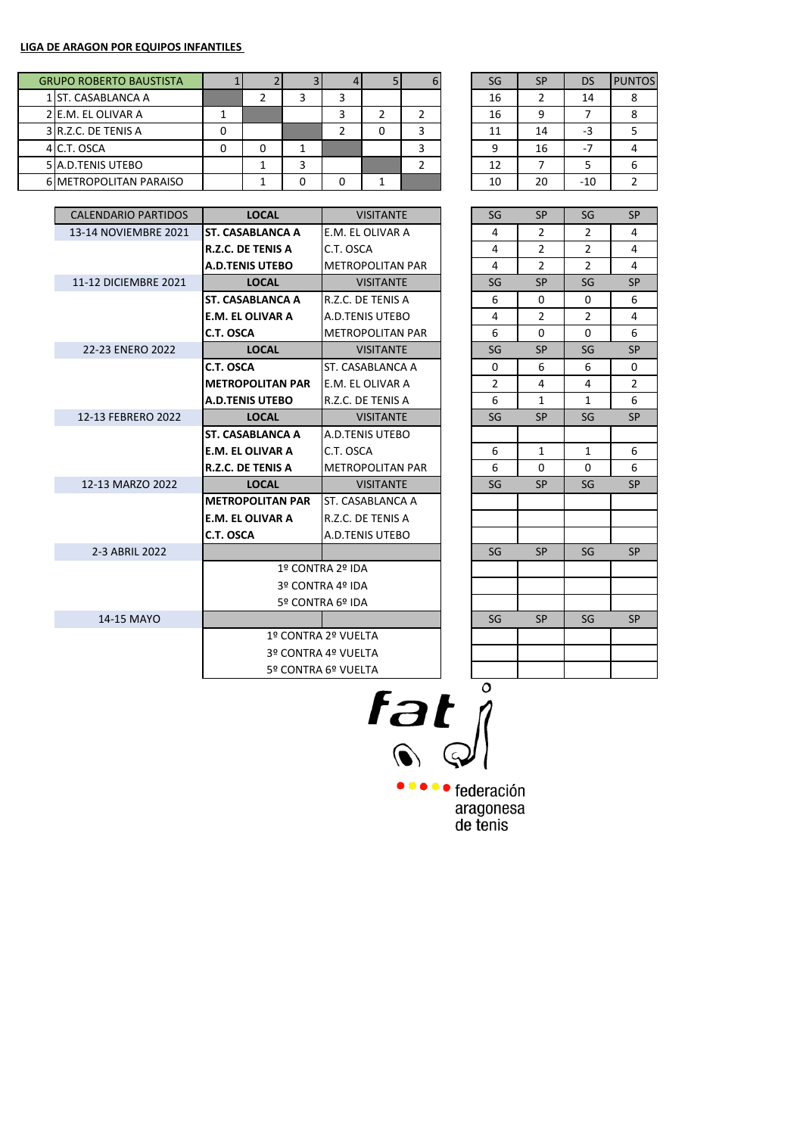|  | <b>GRUPO ROBERTO BAUSTISTA</b> |   |  |  |  | SG | <b>SP</b> | DS    | <b>PUNTOS</b> |
|--|--------------------------------|---|--|--|--|----|-----------|-------|---------------|
|  | 1 ST. CASABLANCA A             |   |  |  |  | 16 |           | 14    |               |
|  | 2 E.M. EL OLIVAR A             |   |  |  |  | 16 | 9         |       |               |
|  | 3 R.Z.C. DE TENIS A            | 0 |  |  |  | 11 | 14        | -3    |               |
|  | 4 C.T. OSCA                    |   |  |  |  |    | 16        | ٠.    |               |
|  | 5 A.D. TENIS UTEBO             |   |  |  |  | 12 |           |       |               |
|  | <b>6 METROPOLITAN PARAISO</b>  |   |  |  |  | 10 | 20        | $-10$ |               |

| SG | <b>SP</b> | DS  | <b>PUNTOS</b> |
|----|-----------|-----|---------------|
| 16 | 2         | 14  |               |
| 16 | ٩         |     |               |
| 11 | 14        | -3  | 5             |
| q  | 16        | -7  |               |
| 12 |           | 5   |               |
| 10 | 20        | -10 |               |

| <b>CALENDARIO PARTIDOS</b> | <b>LOCAL</b>             | <b>VISITANTE</b>        | SG             | <b>SP</b>      | SG             | <b>SP</b> |
|----------------------------|--------------------------|-------------------------|----------------|----------------|----------------|-----------|
| 13-14 NOVIEMBRE 2021       | <b>ST. CASABLANCA A</b>  | E.M. EL OLIVAR A        | 4              | 2              | $\overline{2}$ | 4         |
|                            | <b>R.Z.C. DE TENIS A</b> | C.T. OSCA               | 4              | 2              | 2              | 4         |
|                            | <b>A.D.TENIS UTEBO</b>   | <b>METROPOLITAN PAR</b> | 4              | $\overline{2}$ | $\overline{2}$ | 4         |
| 11-12 DICIEMBRE 2021       | <b>LOCAL</b>             | <b>VISITANTE</b>        | SG             | <b>SP</b>      | SG             | <b>SP</b> |
|                            | <b>ST. CASABLANCA A</b>  | R.Z.C. DE TENIS A       | 6              | 0              | 0              | 6         |
|                            | <b>E.M. EL OLIVAR A</b>  | A.D.TENIS UTEBO         | 4              | $\overline{2}$ | $\overline{2}$ | 4         |
|                            | C.T. OSCA                | <b>METROPOLITAN PAR</b> | 6              | $\Omega$       | $\Omega$       | 6         |
| 22-23 ENERO 2022           | <b>LOCAL</b>             | <b>VISITANTE</b>        | SG             | <b>SP</b>      | SG             | <b>SP</b> |
|                            | C.T. OSCA                | ST. CASABLANCA A        | $\mathbf{0}$   | 6              | 6              | 0         |
|                            | <b>METROPOLITAN PAR</b>  | E.M. EL OLIVAR A        | $\overline{2}$ | 4              | 4              | 2         |
|                            | <b>A.D.TENIS UTEBO</b>   | R.Z.C. DE TENIS A       | 6              | $\mathbf{1}$   | $\mathbf{1}$   | 6         |
| 12-13 FEBRERO 2022         | <b>LOCAL</b>             | <b>VISITANTE</b>        | SG             | <b>SP</b>      | SG             | <b>SP</b> |
|                            | <b>ST. CASABLANCA A</b>  | A.D.TENIS UTEBO         |                |                |                |           |
|                            | <b>E.M. EL OLIVAR A</b>  | C.T. OSCA               | 6              | $\mathbf{1}$   | 1              | 6         |
|                            | <b>R.Z.C. DE TENIS A</b> | <b>METROPOLITAN PAR</b> | 6              | $\Omega$       | $\Omega$       | 6         |
| 12-13 MARZO 2022           | <b>LOCAL</b>             | <b>VISITANTE</b>        | SG             | <b>SP</b>      | SG             | <b>SP</b> |
|                            | <b>METROPOLITAN PAR</b>  | ST. CASABLANCA A        |                |                |                |           |
|                            | <b>E.M. EL OLIVAR A</b>  | R.Z.C. DE TENIS A       |                |                |                |           |
|                            | C.T. OSCA                | A.D.TENIS UTEBO         |                |                |                |           |
| 2-3 ABRIL 2022             |                          |                         | SG             | <b>SP</b>      | SG             | <b>SP</b> |
|                            |                          | 1º CONTRA 2º IDA        |                |                |                |           |
|                            |                          | 3º CONTRA 4º IDA        |                |                |                |           |
|                            |                          | 5º CONTRA 6º IDA        |                |                |                |           |
| 14-15 MAYO                 |                          |                         | SG             | <b>SP</b>      | SG             | <b>SP</b> |
|                            |                          | 1º CONTRA 2º VUELTA     |                |                |                |           |
|                            |                          | 3º CONTRA 4º VUELTA     |                |                |                |           |
|                            |                          | 5º CONTRA 6º VUELTA     |                |                |                |           |
|                            |                          |                         | ⌒              |                |                |           |

 $rac{a}{\sqrt{2}}$ 

••••• federación aragonesa<br>de tenis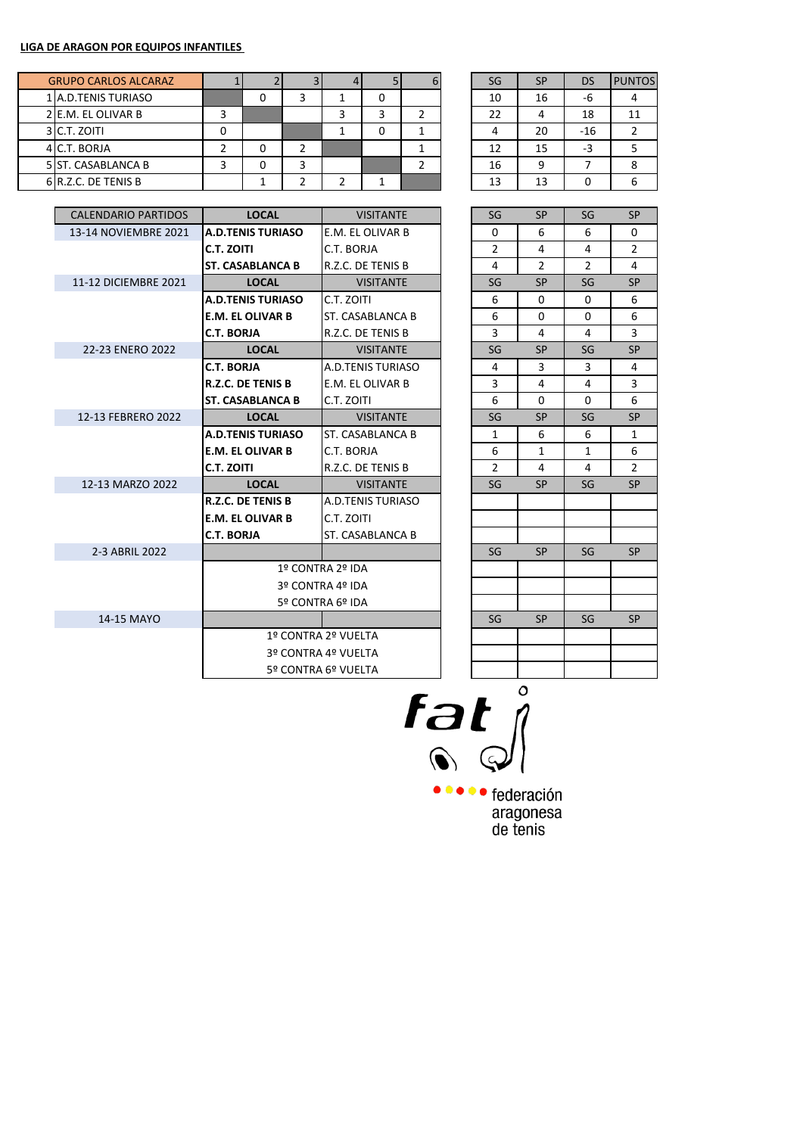|  | <b>GRUPO CARLOS ALCARAZ</b> |   |   |  |  | SG | <b>SP</b> | DS    | <b>PUNTOS</b> |
|--|-----------------------------|---|---|--|--|----|-----------|-------|---------------|
|  | 1 A.D. TENIS TURIASO        |   |   |  |  | 10 | 16        | -6    |               |
|  | 2 E.M. EL OLIVAR B          |   |   |  |  | 22 |           | 18    | 11            |
|  | 3 C.T. ZOITI                | 0 |   |  |  |    | 20        | $-16$ |               |
|  | 4 C.T. BORJA                |   |   |  |  | 12 | 15        | $-3$  |               |
|  | 5 ST. CASABLANCA B          |   | っ |  |  | 16 | 9         |       |               |
|  | 6 R.Z.C. DE TENIS B         |   |   |  |  | 13 | 13        |       |               |

| SG | <b>SP</b> | <b>DS</b> | <b>PUNTOS</b> |
|----|-----------|-----------|---------------|
| 10 | 16        | -6        |               |
| 22 | 4         | 18        | 11            |
|    | 20        | $-16$     | $\mathfrak z$ |
| 12 | 15        | -3        | 5             |
| 16 | q         |           |               |
| 13 | 13        |           |               |

| <b>CALENDARIO PARTIDOS</b> | <b>LOCAL</b>             | <b>VISITANTE</b>    |  | SG             | <b>SP</b> | SG             | <b>SP</b>      |
|----------------------------|--------------------------|---------------------|--|----------------|-----------|----------------|----------------|
| 13-14 NOVIEMBRE 2021       | <b>A.D.TENIS TURIASO</b> | E.M. EL OLIVAR B    |  | $\Omega$       | 6         | 6              | 0              |
|                            | C.T. ZOITI               | C.T. BORJA          |  | $\overline{2}$ | 4         | 4              | $\overline{2}$ |
|                            | <b>ST. CASABLANCA B</b>  | R.Z.C. DE TENIS B   |  | 4              | 2         | $\overline{2}$ | 4              |
| 11-12 DICIEMBRE 2021       | <b>LOCAL</b>             | <b>VISITANTE</b>    |  | SG             | <b>SP</b> | SG             | <b>SP</b>      |
|                            | <b>A.D.TENIS TURIASO</b> | C.T. ZOITI          |  | 6              | $\Omega$  | $\Omega$       | 6              |
|                            | <b>E.M. EL OLIVAR B</b>  | ST. CASABLANCA B    |  | 6              | $\Omega$  | 0              | 6              |
|                            | <b>C.T. BORJA</b>        | R.Z.C. DE TENIS B   |  | 3              | 4         | 4              | 3              |
| 22-23 ENERO 2022           | <b>LOCAL</b>             | <b>VISITANTE</b>    |  | SG             | <b>SP</b> | SG             | <b>SP</b>      |
|                            | <b>C.T. BORJA</b>        | A.D.TENIS TURIASO   |  | 4              | 3         | 3              | 4              |
|                            | <b>R.Z.C. DE TENIS B</b> | E.M. EL OLIVAR B    |  | 3              | 4         | 4              | 3              |
|                            | <b>ST. CASABLANCA B</b>  | C.T. ZOITI          |  | 6              | $\Omega$  | $\Omega$       | 6              |
| 12-13 FEBRERO 2022         | <b>LOCAL</b>             | <b>VISITANTE</b>    |  | SG             | <b>SP</b> | SG             | <b>SP</b>      |
|                            | <b>A.D.TENIS TURIASO</b> | ST. CASABLANCA B    |  | $\mathbf{1}$   | 6         | 6              | $\mathbf{1}$   |
|                            | <b>E.M. EL OLIVAR B</b>  | C.T. BORJA          |  | 6              | 1         | $\mathbf{1}$   | 6              |
|                            | C.T. ZOITI               | R.Z.C. DE TENIS B   |  | $\overline{2}$ | 4         | 4              | 2              |
| 12-13 MARZO 2022           | <b>LOCAL</b>             | <b>VISITANTE</b>    |  | SG             | <b>SP</b> | SG             | <b>SP</b>      |
|                            | <b>R.Z.C. DE TENIS B</b> | A.D.TENIS TURIASO   |  |                |           |                |                |
|                            | <b>E.M. EL OLIVAR B</b>  | C.T. ZOITI          |  |                |           |                |                |
|                            | <b>C.T. BORJA</b>        | ST. CASABLANCA B    |  |                |           |                |                |
| 2-3 ABRIL 2022             |                          |                     |  | SG             | <b>SP</b> | SG             | <b>SP</b>      |
|                            |                          | 1º CONTRA 2º IDA    |  |                |           |                |                |
|                            |                          | 3º CONTRA 4º IDA    |  |                |           |                |                |
|                            |                          | 5º CONTRA 6º IDA    |  |                |           |                |                |
| 14-15 MAYO                 |                          |                     |  | SG             | <b>SP</b> | SG             | <b>SP</b>      |
|                            |                          | 1º CONTRA 2º VUELTA |  |                |           |                |                |
|                            | 3º CONTRA 4º VUELTA      |                     |  |                |           |                |                |
|                            |                          | 5º CONTRA 6º VUELTA |  |                |           |                |                |
|                            |                          |                     |  |                |           |                |                |

| SG             | SP                       | SG                       | SP             |
|----------------|--------------------------|--------------------------|----------------|
| 0              | 6                        | 6                        | 0              |
| $\overline{c}$ | 4                        | 4                        | $\overline{c}$ |
| 4              | $\overline{2}$           | $\overline{2}$           | 4              |
| SG             | SP                       | $\overline{\mathsf{SG}}$ | SP             |
| 6              | 0                        | 0                        | 6              |
| 6              | 0                        | 0                        | 6              |
| 3              | 4                        | 4                        | 3              |
| SG             | SP                       | SG                       | SP             |
| 4              | 3                        | 3                        | 4              |
| 3              | 4                        | 4                        | 3              |
| 6              | 0                        | 0                        | 6              |
| SG             | SP                       | SG                       | SP             |
| $\mathbf{1}$   | 6                        | 6                        | $\mathbf{1}$   |
| 6              | $\mathbf{1}$             | $\overline{1}$           | 6              |
| $\overline{2}$ | 4                        | 4                        | $\overline{2}$ |
| SG             | SP                       | SG                       | SP             |
|                |                          |                          |                |
|                |                          |                          |                |
|                |                          |                          |                |
| SG             | SP                       | SG                       | SP             |
|                |                          |                          |                |
|                |                          |                          |                |
|                |                          |                          |                |
| SG             | $\overline{\mathsf{SP}}$ | SG                       | SP             |
|                |                          |                          |                |
|                |                          |                          |                |
|                |                          |                          |                |
|                |                          |                          |                |

 $\overrightarrow{f}$ 

••••• federación aragonesa<br>de tenis